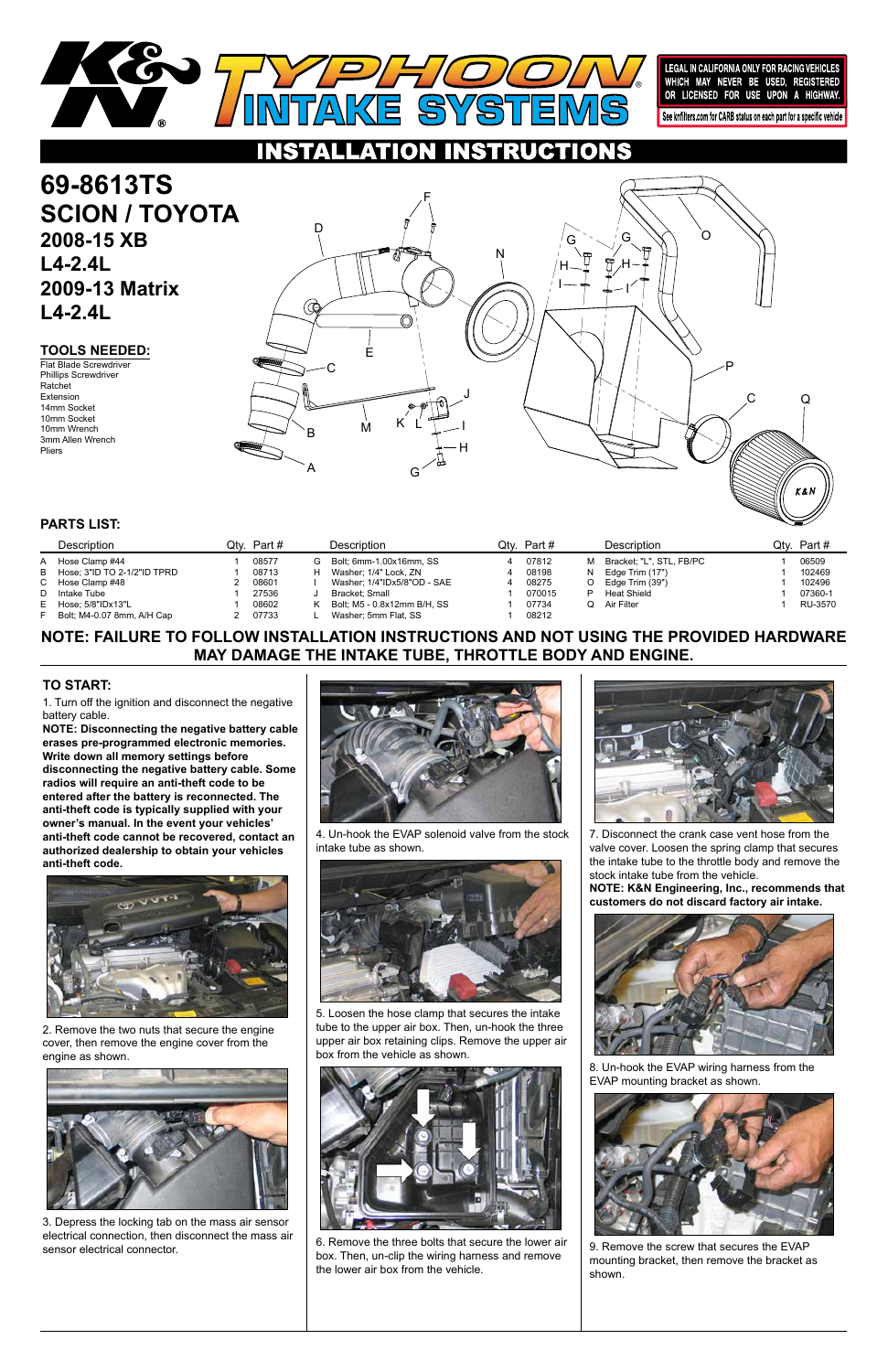#### **TOOLS NEEDED:**

# **NOTE: FAILURE TO FOLLOW INSTALLATION INSTRUCTIONS AND NOT USING THE PROVIDED HARDWARE MAY DAMAGE THE INTAKE TUBE, THROTTLE BODY AND ENGINE.**

1. Turn off the ignition and disconnect the negative battery cable.

**NOTE: Disconnecting the negative battery cable erases pre-programmed electronic memories. Write down all memory settings before disconnecting the negative battery cable. Some radios will require an anti-theft code to be entered after the battery is reconnected. The anti-theft code is typically supplied with your owner's manual. In the event your vehicles' anti-theft code cannot be recovered, contact an authorized dealership to obtain your vehicles anti-theft code.**



**69-8613TS SCION / TOYOTA 2008-15 XB L4-2.4L 2009-13 Matrix L4-2.4L**

### **TO START:**

### **PARTS LIST:**



LEGAL IN CALIFORNIA ONLY FOR RACING VEHICLES<br>WHICH MAY NEVER BE USED, REGISTERED<br>OR LICENSED FOR USE UPON A HIGHWAY. See knfilters.com for CARB status on each part for a specific vehicle

**NSTRUCTIONS** HON

> 7. Disconnect the crank case vent hose from the valve cover. Loosen the spring clamp that secures the intake tube to the throttle body and remove the stock intake tube from the vehicle.

**NOTE: K&N Engineering, Inc., recommends that customers do not discard factory air intake.**



2. Remove the two nuts that secure the engine cover, then remove the engine cover from the engine as shown.



|    | Description                   | Qtv. | Part # |   | Description                 | Qtv. | Part # |    | Description              | Jtv∴ | Part #  |
|----|-------------------------------|------|--------|---|-----------------------------|------|--------|----|--------------------------|------|---------|
| A  | Hose Clamp #44                |      | 08577  | G | Bolt: 6mm-1.00x16mm, SS     |      | 07812  | м  | Bracket: "L", STL, FB/PC |      | 06509   |
|    | B Hose: 3"ID TO 2-1/2"ID TPRD |      | 08713  |   | Washer: 1/4" Lock. ZN       |      | 08198  | N. | Edge Trim (17")          |      | 102469  |
|    | C Hose Clamp #48              |      | 08601  |   | Washer: 1/4"IDx5/8"OD - SAE |      | 08275  |    | Edge Trim (39")          |      | 102496  |
|    | D Intake Tube                 |      | 27536  |   | Bracket: Small              |      | 070015 |    | Heat Shield              |      | 07360-1 |
|    | E Hose; 5/8"IDx13"L           |      | 08602  |   | Bolt: M5 - 0.8x12mm B/H, SS |      | 07734  | O  | Air Filter               |      | RU-3570 |
| F. | Bolt: M4-0.07 8mm, A/H Cap    |      | 07733  |   | Washer: 5mm Flat. SS        |      | 08212  |    |                          |      |         |

Flat Blade Screwdriver Phillips Screwdriver Ratchet Extension 14mm Socket 10mm Socket 10mm Wrench 3mm Allen Wrench Pliers

3. Depress the locking tab on the mass air sensor electrical connection, then disconnect the mass air sensor electrical connector.



4. Un-hook the EVAP solenoid valve from the stock intake tube as shown.





5. Loosen the hose clamp that secures the intake tube to the upper air box. Then, un-hook the three upper air box retaining clips. Remove the upper air box from the vehicle as shown.



6. Remove the three bolts that secure the lower air box. Then, un-clip the wiring harness and remove the lower air box from the vehicle.

8. Un-hook the EVAP wiring harness from the EVAP mounting bracket as shown.



9. Remove the screw that secures the EVAP mounting bracket, then remove the bracket as shown.